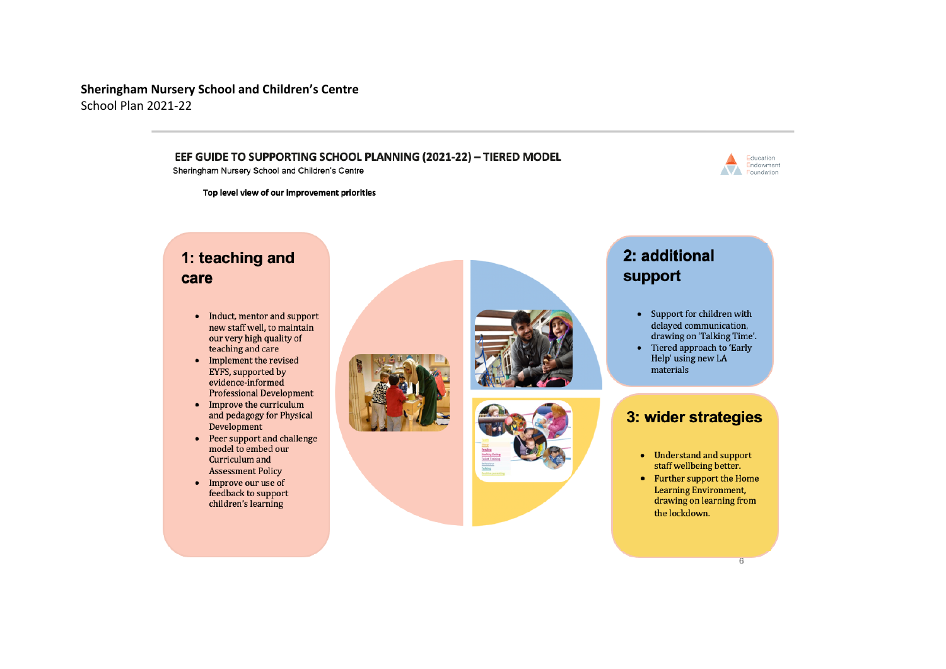### **Sheringham Nursery School and Children's Centre** School Plan 2021-22

### EEF GUIDE TO SUPPORTING SCHOOL PLANNING (2021-22) - TIERED MODEL

Sheringham Nursery School and Children's Centre

Education Endowment Foundation

Top level view of our improvement priorities

## 1: teaching and care

- Induct, mentor and support new staff well, to maintain our very high quality of teaching and care
- Implement the revised EYFS, supported by evidence-informed **Professional Development**
- Improve the curriculum and pedagogy for Physical Development
- Peer support and challenge model to embed our Curriculum and **Assessment Policy**
- Improve our use of feedback to support children's learning





# 2: additional support

- Support for children with delayed communication, drawing on 'Talking Time'.
- Tiered approach to 'Early Help' using new LA materials

### 3: wider strategies

- Understand and support staff wellbeing better.
- Further support the Home **Learning Environment,** drawing on learning from the lockdown.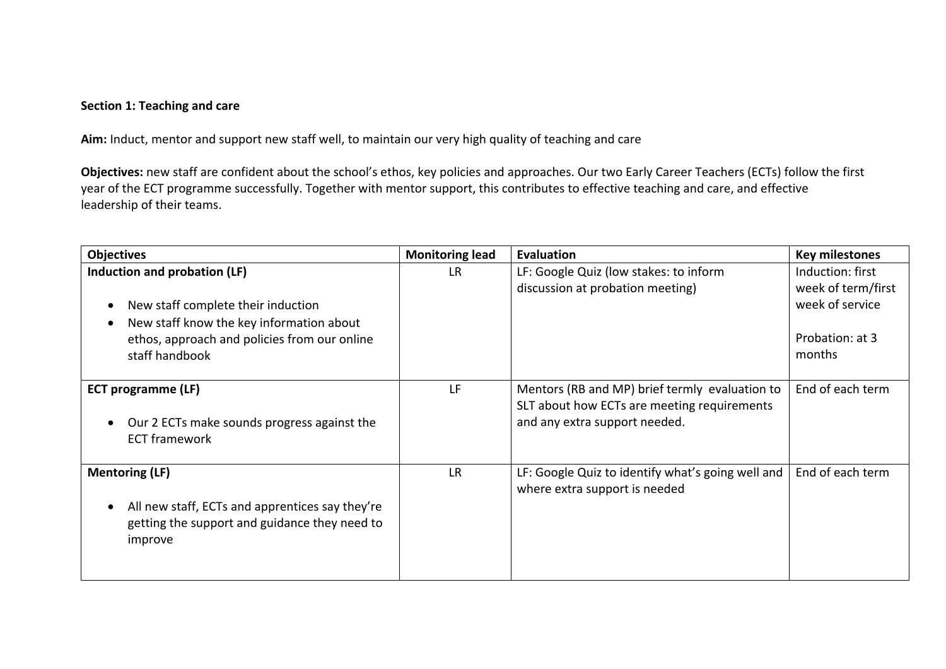### **Section 1: Teaching and care**

**Aim:** Induct, mentor and support new staff well, to maintain our very high quality of teaching and care

**Objectives:** new staff are confident about the school's ethos, key policies and approaches. Our two Early Career Teachers (ECTs) follow the first year of the ECT programme successfully. Together with mentor support, this contributes to effective teaching and care, and effective leadership of their teams.

| <b>Objectives</b>                                            | <b>Monitoring lead</b> | Evaluation                                        | <b>Key milestones</b> |
|--------------------------------------------------------------|------------------------|---------------------------------------------------|-----------------------|
| Induction and probation (LF)                                 | LR                     | LF: Google Quiz (low stakes: to inform            | Induction: first      |
|                                                              |                        | discussion at probation meeting)                  | week of term/first    |
| New staff complete their induction<br>$\bullet$              |                        |                                                   | week of service       |
| New staff know the key information about<br>c                |                        |                                                   |                       |
| ethos, approach and policies from our online                 |                        |                                                   | Probation: at 3       |
| staff handbook                                               |                        |                                                   | months                |
|                                                              |                        |                                                   |                       |
| <b>ECT programme (LF)</b>                                    | <b>LF</b>              | Mentors (RB and MP) brief termly evaluation to    | End of each term      |
|                                                              |                        | SLT about how ECTs are meeting requirements       |                       |
| Our 2 ECTs make sounds progress against the                  |                        | and any extra support needed.                     |                       |
| <b>ECT framework</b>                                         |                        |                                                   |                       |
|                                                              |                        |                                                   |                       |
| <b>Mentoring (LF)</b>                                        | <b>LR</b>              | LF: Google Quiz to identify what's going well and | End of each term      |
|                                                              |                        | where extra support is needed                     |                       |
| All new staff, ECTs and apprentices say they're<br>$\bullet$ |                        |                                                   |                       |
| getting the support and guidance they need to                |                        |                                                   |                       |
| improve                                                      |                        |                                                   |                       |
|                                                              |                        |                                                   |                       |
|                                                              |                        |                                                   |                       |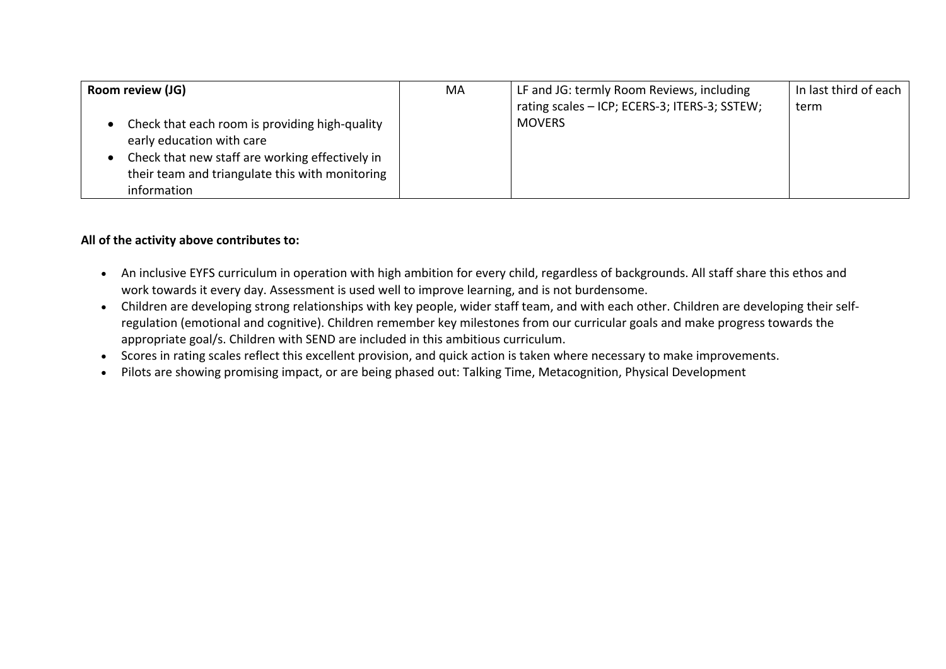| Room review (JG)                                                                                                                                                                                 | МA | LF and JG: termly Room Reviews, including<br>rating scales - ICP; ECERS-3; ITERS-3; SSTEW; | In last third of each<br>term |
|--------------------------------------------------------------------------------------------------------------------------------------------------------------------------------------------------|----|--------------------------------------------------------------------------------------------|-------------------------------|
| Check that each room is providing high-quality<br>early education with care<br>Check that new staff are working effectively in<br>their team and triangulate this with monitoring<br>information |    | <b>MOVERS</b>                                                                              |                               |

### **All of the activity above contributes to:**

- An inclusive EYFS curriculum in operation with high ambition for every child, regardless of backgrounds. All staff share this ethos and work towards it every day. Assessment is used well to improve learning, and is not burdensome.
- Children are developing strong relationships with key people, wider staff team, and with each other. Children are developing their selfregulation (emotional and cognitive). Children remember key milestones from our curricular goals and make progress towards the appropriate goal/s. Children with SEND are included in this ambitious curriculum.
- Scores in rating scales reflect this excellent provision, and quick action is taken where necessary to make improvements.
- Pilots are showing promising impact, or are being phased out: Talking Time, Metacognition, Physical Development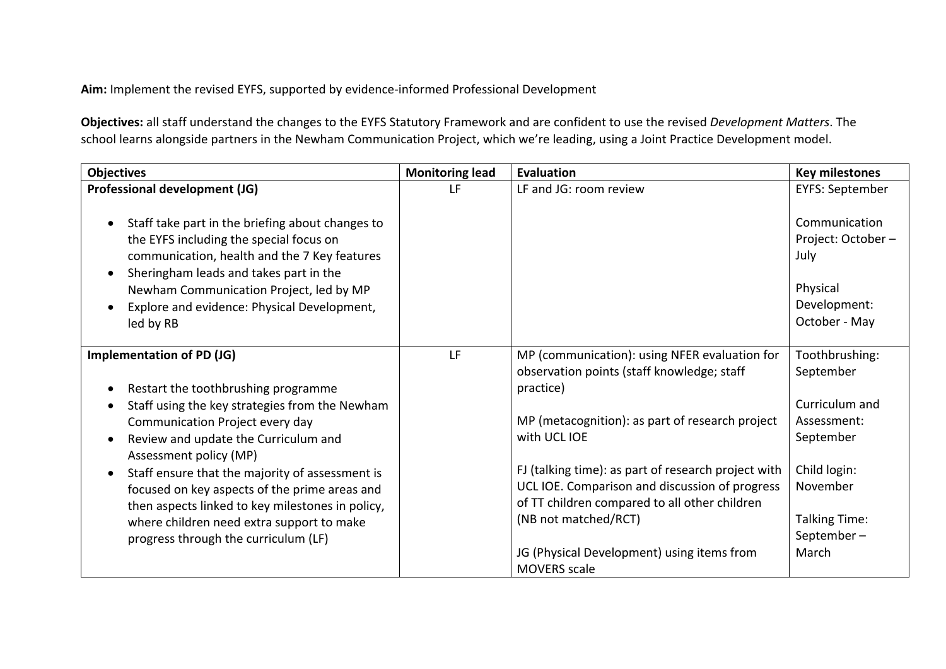**Aim:** Implement the revised EYFS, supported by evidence-informed Professional Development

**Objectives:** all staff understand the changes to the EYFS Statutory Framework and are confident to use the revised *Development Matters*. The school learns alongside partners in the Newham Communication Project, which we're leading, using a Joint Practice Development model.

| <b>Objectives</b>                                                                                                                                                                                                                                                                                                                                                                                                                                                                           | <b>Monitoring lead</b> | Evaluation                                                                                                                                                                                                                                                                                                                          | <b>Key milestones</b>                                                                                                 |
|---------------------------------------------------------------------------------------------------------------------------------------------------------------------------------------------------------------------------------------------------------------------------------------------------------------------------------------------------------------------------------------------------------------------------------------------------------------------------------------------|------------------------|-------------------------------------------------------------------------------------------------------------------------------------------------------------------------------------------------------------------------------------------------------------------------------------------------------------------------------------|-----------------------------------------------------------------------------------------------------------------------|
| Professional development (JG)                                                                                                                                                                                                                                                                                                                                                                                                                                                               | LF                     | LF and JG: room review                                                                                                                                                                                                                                                                                                              | <b>EYFS: September</b>                                                                                                |
| Staff take part in the briefing about changes to<br>$\bullet$<br>the EYFS including the special focus on<br>communication, health and the 7 Key features<br>Sheringham leads and takes part in the<br>$\bullet$                                                                                                                                                                                                                                                                             |                        |                                                                                                                                                                                                                                                                                                                                     | Communication<br>Project: October-<br>July                                                                            |
| Newham Communication Project, led by MP<br>Explore and evidence: Physical Development,<br>$\bullet$<br>led by RB                                                                                                                                                                                                                                                                                                                                                                            |                        |                                                                                                                                                                                                                                                                                                                                     | Physical<br>Development:<br>October - May                                                                             |
| <b>Implementation of PD (JG)</b>                                                                                                                                                                                                                                                                                                                                                                                                                                                            | LF                     | MP (communication): using NFER evaluation for<br>observation points (staff knowledge; staff                                                                                                                                                                                                                                         | Toothbrushing:<br>September                                                                                           |
| Restart the toothbrushing programme<br>$\bullet$<br>Staff using the key strategies from the Newham<br>$\bullet$<br>Communication Project every day<br>Review and update the Curriculum and<br>$\bullet$<br>Assessment policy (MP)<br>Staff ensure that the majority of assessment is<br>$\bullet$<br>focused on key aspects of the prime areas and<br>then aspects linked to key milestones in policy,<br>where children need extra support to make<br>progress through the curriculum (LF) |                        | practice)<br>MP (metacognition): as part of research project<br>with UCL IOE<br>FJ (talking time): as part of research project with<br>UCL IOE. Comparison and discussion of progress<br>of TT children compared to all other children<br>(NB not matched/RCT)<br>JG (Physical Development) using items from<br><b>MOVERS</b> scale | Curriculum and<br>Assessment:<br>September<br>Child login:<br>November<br><b>Talking Time:</b><br>September-<br>March |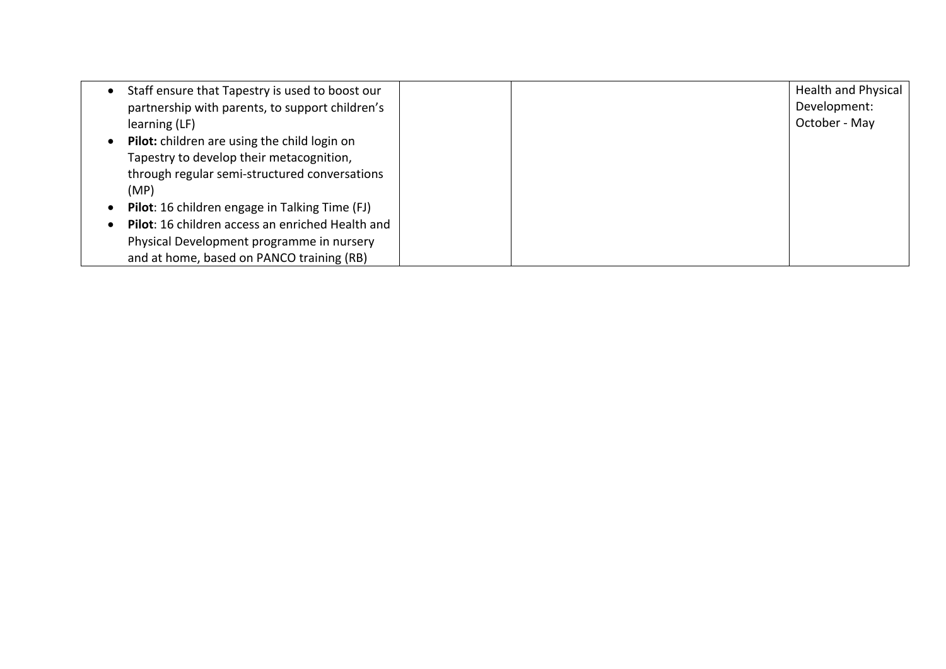| Staff ensure that Tapestry is used to boost our  | <b>Health and Physical</b> |
|--------------------------------------------------|----------------------------|
| partnership with parents, to support children's  | Development:               |
| learning (LF)                                    | October - May              |
| Pilot: children are using the child login on     |                            |
| Tapestry to develop their metacognition,         |                            |
| through regular semi-structured conversations    |                            |
| (MP)                                             |                            |
| Pilot: 16 children engage in Talking Time (FJ)   |                            |
| Pilot: 16 children access an enriched Health and |                            |
| Physical Development programme in nursery        |                            |
| and at home, based on PANCO training (RB)        |                            |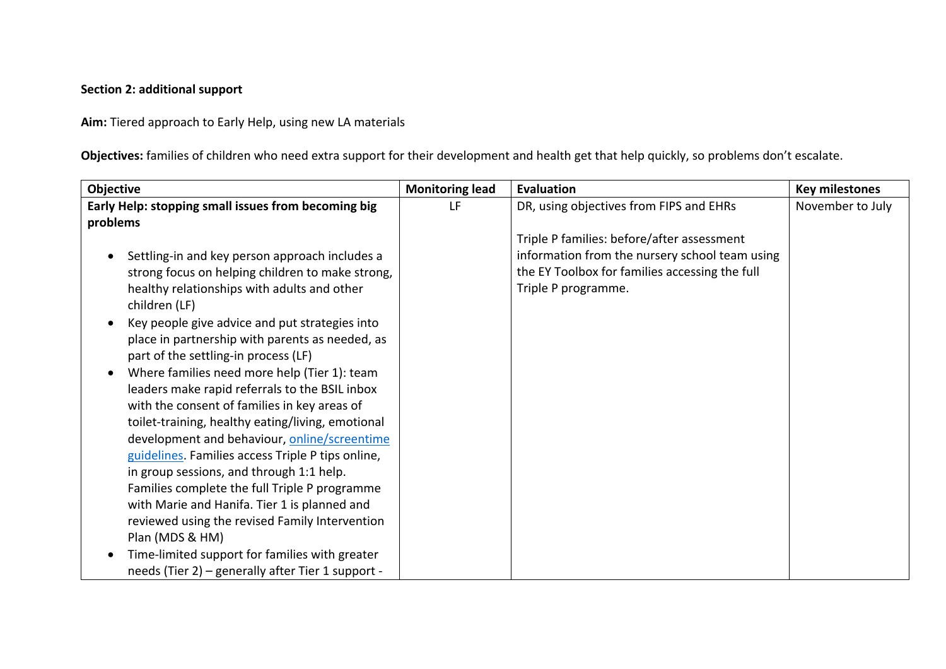### **Section 2: additional support**

**Aim:** Tiered approach to Early Help, using new LA materials

**Objectives:** families of children who need extra support for their development and health get that help quickly, so problems don't escalate.

| Objective                                                   | <b>Monitoring lead</b> | Evaluation                                     | <b>Key milestones</b> |
|-------------------------------------------------------------|------------------------|------------------------------------------------|-----------------------|
| Early Help: stopping small issues from becoming big         | LF                     | DR, using objectives from FIPS and EHRs        | November to July      |
| problems                                                    |                        |                                                |                       |
|                                                             |                        | Triple P families: before/after assessment     |                       |
| Settling-in and key person approach includes a<br>$\bullet$ |                        | information from the nursery school team using |                       |
| strong focus on helping children to make strong,            |                        | the EY Toolbox for families accessing the full |                       |
| healthy relationships with adults and other                 |                        | Triple P programme.                            |                       |
| children (LF)                                               |                        |                                                |                       |
| Key people give advice and put strategies into              |                        |                                                |                       |
| place in partnership with parents as needed, as             |                        |                                                |                       |
| part of the settling-in process (LF)                        |                        |                                                |                       |
| Where families need more help (Tier 1): team<br>$\bullet$   |                        |                                                |                       |
| leaders make rapid referrals to the BSIL inbox              |                        |                                                |                       |
| with the consent of families in key areas of                |                        |                                                |                       |
| toilet-training, healthy eating/living, emotional           |                        |                                                |                       |
| development and behaviour, online/screentime                |                        |                                                |                       |
| guidelines. Families access Triple P tips online,           |                        |                                                |                       |
| in group sessions, and through 1:1 help.                    |                        |                                                |                       |
| Families complete the full Triple P programme               |                        |                                                |                       |
| with Marie and Hanifa. Tier 1 is planned and                |                        |                                                |                       |
| reviewed using the revised Family Intervention              |                        |                                                |                       |
| Plan (MDS & HM)                                             |                        |                                                |                       |
| Time-limited support for families with greater<br>$\bullet$ |                        |                                                |                       |
| needs (Tier 2) - generally after Tier 1 support -           |                        |                                                |                       |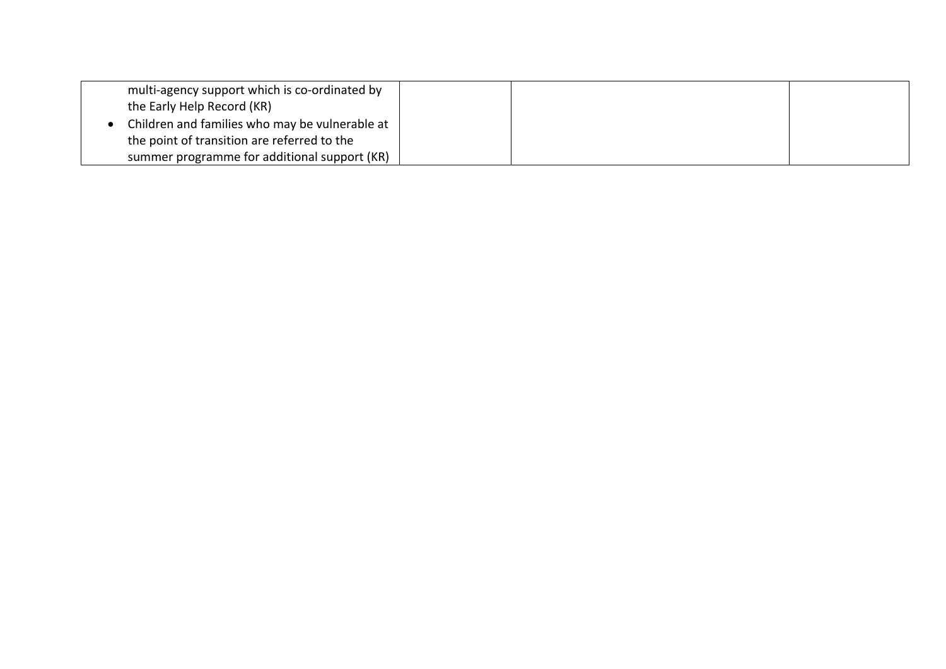| multi-agency support which is co-ordinated by  |  |
|------------------------------------------------|--|
| the Early Help Record (KR)                     |  |
| Children and families who may be vulnerable at |  |
| the point of transition are referred to the    |  |
| summer programme for additional support (KR)   |  |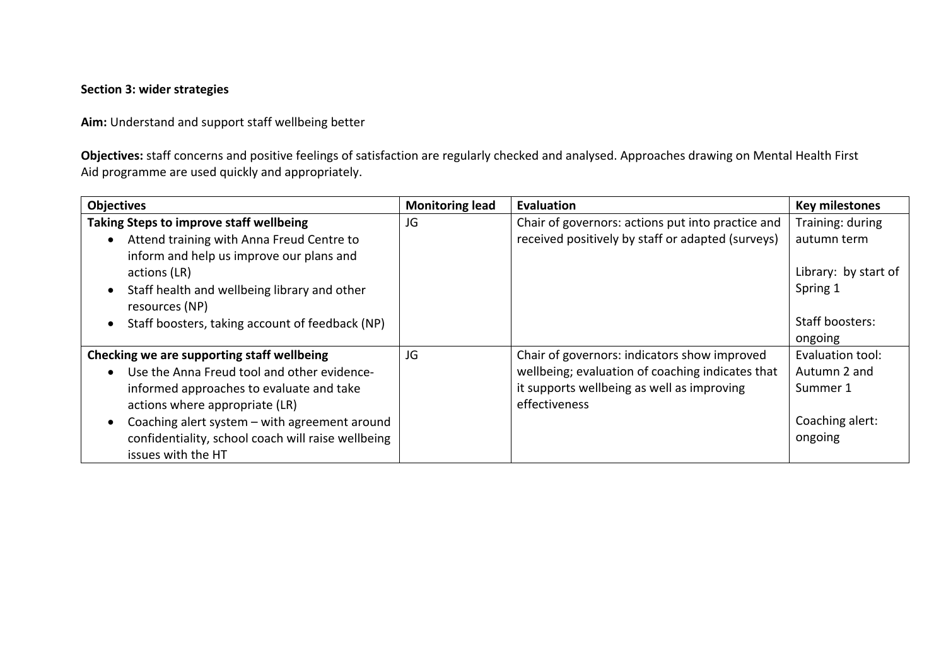### **Section 3: wider strategies**

**Aim:** Understand and support staff wellbeing better

**Objectives:** staff concerns and positive feelings of satisfaction are regularly checked and analysed. Approaches drawing on Mental Health First Aid programme are used quickly and appropriately.

| <b>Objectives</b>                                            | <b>Monitoring lead</b> | Evaluation                                        | <b>Key milestones</b> |
|--------------------------------------------------------------|------------------------|---------------------------------------------------|-----------------------|
| <b>Taking Steps to improve staff wellbeing</b>               | JG                     | Chair of governors: actions put into practice and | Training: during      |
| Attend training with Anna Freud Centre to                    |                        | received positively by staff or adapted (surveys) | autumn term           |
| inform and help us improve our plans and                     |                        |                                                   |                       |
| actions (LR)                                                 |                        |                                                   | Library: by start of  |
| Staff health and wellbeing library and other<br>$\bullet$    |                        |                                                   | Spring 1              |
| resources (NP)                                               |                        |                                                   |                       |
| Staff boosters, taking account of feedback (NP)<br>$\bullet$ |                        |                                                   | Staff boosters:       |
|                                                              |                        |                                                   | ongoing               |
| Checking we are supporting staff wellbeing                   | JG                     | Chair of governors: indicators show improved      | Evaluation tool:      |
| Use the Anna Freud tool and other evidence-<br>$\bullet$     |                        | wellbeing; evaluation of coaching indicates that  | Autumn 2 and          |
| informed approaches to evaluate and take                     |                        | it supports wellbeing as well as improving        | Summer 1              |
| actions where appropriate (LR)                               |                        | effectiveness                                     |                       |
| Coaching alert system - with agreement around<br>$\bullet$   |                        |                                                   | Coaching alert:       |
| confidentiality, school coach will raise wellbeing           |                        |                                                   | ongoing               |
| issues with the HT                                           |                        |                                                   |                       |